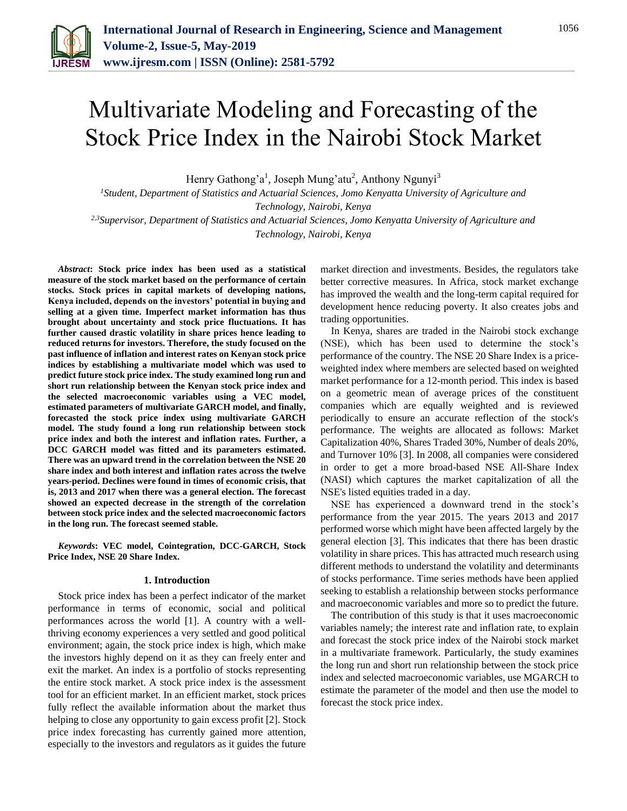

# Multivariate Modeling and Forecasting of the Stock Price Index in the Nairobi Stock Market

Henry Gathong'a<sup>1</sup>, Joseph Mung'atu<sup>2</sup>, Anthony Ngunyi<sup>3</sup>

*<sup>1</sup>Student, Department of Statistics and Actuarial Sciences, Jomo Kenyatta University of Agriculture and Technology, Nairobi, Kenya 2,3Supervisor, Department of Statistics and Actuarial Sciences, Jomo Kenyatta University of Agriculture and* 

*Technology, Nairobi, Kenya*

*Abstract***: Stock price index has been used as a statistical measure of the stock market based on the performance of certain stocks. Stock prices in capital markets of developing nations, Kenya included, depends on the investors' potential in buying and selling at a given time. Imperfect market information has thus brought about uncertainty and stock price fluctuations. It has further caused drastic volatility in share prices hence leading to reduced returns for investors. Therefore, the study focused on the past influence of inflation and interest rates on Kenyan stock price indices by establishing a multivariate model which was used to predict future stock price index. The study examined long run and short run relationship between the Kenyan stock price index and the selected macroeconomic variables using a VEC model, estimated parameters of multivariate GARCH model, and finally, forecasted the stock price index using multivariate GARCH model. The study found a long run relationship between stock price index and both the interest and inflation rates. Further, a DCC GARCH model was fitted and its parameters estimated. There was an upward trend in the correlation between the NSE 20 share index and both interest and inflation rates across the twelve years-period. Declines were found in times of economic crisis, that is, 2013 and 2017 when there was a general election. The forecast showed an expected decrease in the strength of the correlation between stock price index and the selected macroeconomic factors in the long run. The forecast seemed stable.**

*Keywords***: VEC model, Cointegration, DCC-GARCH, Stock Price Index, NSE 20 Share Index.**

#### **1. Introduction**

Stock price index has been a perfect indicator of the market performance in terms of economic, social and political performances across the world [1]. A country with a wellthriving economy experiences a very settled and good political environment; again, the stock price index is high, which make the investors highly depend on it as they can freely enter and exit the market. An index is a portfolio of stocks representing the entire stock market. A stock price index is the assessment tool for an efficient market. In an efficient market, stock prices fully reflect the available information about the market thus helping to close any opportunity to gain excess profit [2]. Stock price index forecasting has currently gained more attention, especially to the investors and regulators as it guides the future market direction and investments. Besides, the regulators take better corrective measures. In Africa, stock market exchange has improved the wealth and the long-term capital required for development hence reducing poverty. It also creates jobs and trading opportunities.

In Kenya, shares are traded in the Nairobi stock exchange (NSE), which has been used to determine the stock's performance of the country. The NSE 20 Share Index is a priceweighted index where members are selected based on weighted market performance for a 12-month period. This index is based on a geometric mean of average prices of the constituent companies which are equally weighted and is reviewed periodically to ensure an accurate reflection of the stock's performance. The weights are allocated as follows: Market Capitalization 40%, Shares Traded 30%, Number of deals 20%, and Turnover 10% [3]. In 2008, all companies were considered in order to get a more broad-based NSE All-Share Index (NASI) which captures the market capitalization of all the NSE's listed equities traded in a day.

NSE has experienced a downward trend in the stock's performance from the year 2015. The years 2013 and 2017 performed worse which might have been affected largely by the general election [3]. This indicates that there has been drastic volatility in share prices. This has attracted much research using different methods to understand the volatility and determinants of stocks performance. Time series methods have been applied seeking to establish a relationship between stocks performance and macroeconomic variables and more so to predict the future.

The contribution of this study is that it uses macroeconomic variables namely; the interest rate and inflation rate, to explain and forecast the stock price index of the Nairobi stock market in a multivariate framework. Particularly, the study examines the long run and short run relationship between the stock price index and selected macroeconomic variables, use MGARCH to estimate the parameter of the model and then use the model to forecast the stock price index.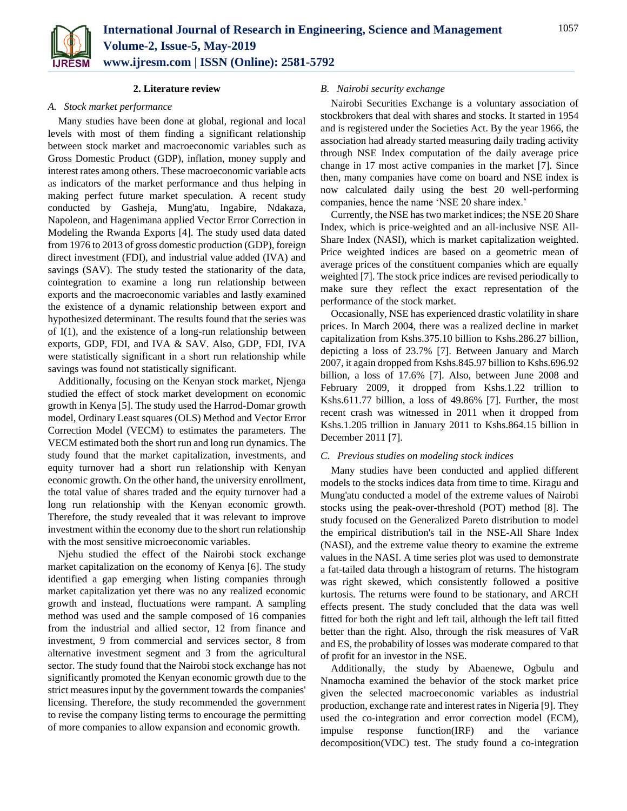

#### **2. Literature review**

#### *A. Stock market performance*

Many studies have been done at global, regional and local levels with most of them finding a significant relationship between stock market and macroeconomic variables such as Gross Domestic Product (GDP), inflation, money supply and interest rates among others. These macroeconomic variable acts as indicators of the market performance and thus helping in making perfect future market speculation. A recent study conducted by Gasheja, Mung'atu, Ingabire, Ndakaza, Napoleon, and Hagenimana applied Vector Error Correction in Modeling the Rwanda Exports [4]. The study used data dated from 1976 to 2013 of gross domestic production (GDP), foreign direct investment (FDI), and industrial value added (IVA) and savings (SAV). The study tested the stationarity of the data, cointegration to examine a long run relationship between exports and the macroeconomic variables and lastly examined the existence of a dynamic relationship between export and hypothesized determinant. The results found that the series was of I(1), and the existence of a long-run relationship between exports, GDP, FDI, and IVA & SAV. Also, GDP, FDI, IVA were statistically significant in a short run relationship while savings was found not statistically significant.

Additionally, focusing on the Kenyan stock market, Njenga studied the effect of stock market development on economic growth in Kenya [5]. The study used the Harrod-Domar growth model, Ordinary Least squares (OLS) Method and Vector Error Correction Model (VECM) to estimates the parameters. The VECM estimated both the short run and long run dynamics. The study found that the market capitalization, investments, and equity turnover had a short run relationship with Kenyan economic growth. On the other hand, the university enrollment, the total value of shares traded and the equity turnover had a long run relationship with the Kenyan economic growth. Therefore, the study revealed that it was relevant to improve investment within the economy due to the short run relationship with the most sensitive microeconomic variables.

Njehu studied the effect of the Nairobi stock exchange market capitalization on the economy of Kenya [6]. The study identified a gap emerging when listing companies through market capitalization yet there was no any realized economic growth and instead, fluctuations were rampant. A sampling method was used and the sample composed of 16 companies from the industrial and allied sector, 12 from finance and investment, 9 from commercial and services sector, 8 from alternative investment segment and 3 from the agricultural sector. The study found that the Nairobi stock exchange has not significantly promoted the Kenyan economic growth due to the strict measures input by the government towards the companies' licensing. Therefore, the study recommended the government to revise the company listing terms to encourage the permitting of more companies to allow expansion and economic growth.

# *B. Nairobi security exchange*

Nairobi Securities Exchange is a voluntary association of stockbrokers that deal with shares and stocks. It started in 1954 and is registered under the Societies Act. By the year 1966, the association had already started measuring daily trading activity through NSE Index computation of the daily average price change in 17 most active companies in the market [7]. Since then, many companies have come on board and NSE index is now calculated daily using the best 20 well-performing companies, hence the name 'NSE 20 share index.'

Currently, the NSE has two market indices; the NSE 20 Share Index, which is price-weighted and an all-inclusive NSE All-Share Index (NASI), which is market capitalization weighted. Price weighted indices are based on a geometric mean of average prices of the constituent companies which are equally weighted [7]. The stock price indices are revised periodically to make sure they reflect the exact representation of the performance of the stock market.

Occasionally, NSE has experienced drastic volatility in share prices. In March 2004, there was a realized decline in market capitalization from Kshs.375.10 billion to Kshs.286.27 billion, depicting a loss of 23.7% [7]. Between January and March 2007, it again dropped from Kshs.845.97 billion to Kshs.696.92 billion, a loss of 17.6% [7]. Also, between June 2008 and February 2009, it dropped from Kshs.1.22 trillion to Kshs.611.77 billion, a loss of 49.86% [7]. Further, the most recent crash was witnessed in 2011 when it dropped from Kshs.1.205 trillion in January 2011 to Kshs.864.15 billion in December 2011 [7].

#### *C. Previous studies on modeling stock indices*

Many studies have been conducted and applied different models to the stocks indices data from time to time. Kiragu and Mung'atu conducted a model of the extreme values of Nairobi stocks using the peak-over-threshold (POT) method [8]. The study focused on the Generalized Pareto distribution to model the empirical distribution's tail in the NSE-All Share Index (NASI), and the extreme value theory to examine the extreme values in the NASI. A time series plot was used to demonstrate a fat-tailed data through a histogram of returns. The histogram was right skewed, which consistently followed a positive kurtosis. The returns were found to be stationary, and ARCH effects present. The study concluded that the data was well fitted for both the right and left tail, although the left tail fitted better than the right. Also, through the risk measures of VaR and ES, the probability of losses was moderate compared to that of profit for an investor in the NSE.

Additionally, the study by Abaenewe, Ogbulu and Nnamocha examined the behavior of the stock market price given the selected macroeconomic variables as industrial production, exchange rate and interest rates in Nigeria [9]. They used the co-integration and error correction model (ECM), impulse response function(IRF) and the variance decomposition(VDC) test. The study found a co-integration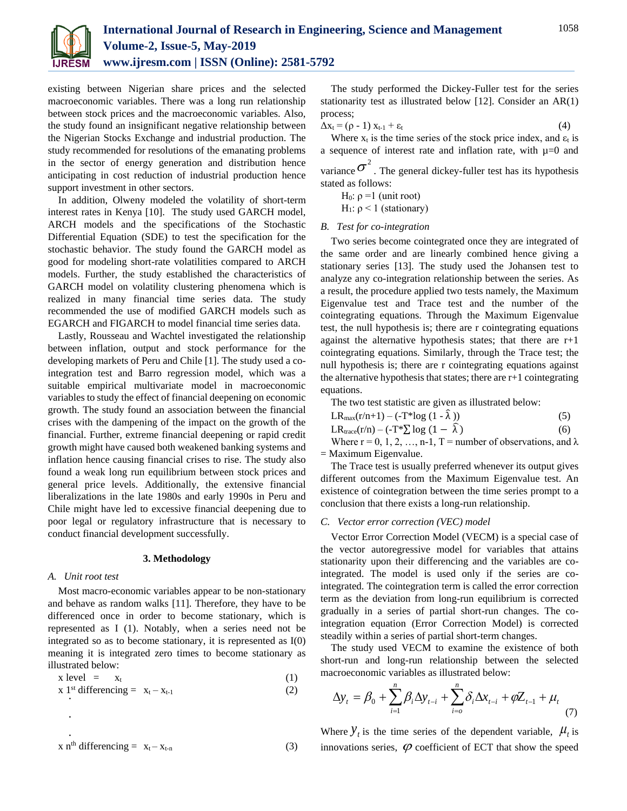

existing between Nigerian share prices and the selected macroeconomic variables. There was a long run relationship between stock prices and the macroeconomic variables. Also, the study found an insignificant negative relationship between the Nigerian Stocks Exchange and industrial production. The study recommended for resolutions of the emanating problems in the sector of energy generation and distribution hence anticipating in cost reduction of industrial production hence support investment in other sectors.

In addition, Olweny modeled the volatility of short-term interest rates in Kenya [10]. The study used GARCH model, ARCH models and the specifications of the Stochastic Differential Equation (SDE) to test the specification for the stochastic behavior. The study found the GARCH model as good for modeling short-rate volatilities compared to ARCH models. Further, the study established the characteristics of GARCH model on volatility clustering phenomena which is realized in many financial time series data. The study recommended the use of modified GARCH models such as EGARCH and FIGARCH to model financial time series data.

Lastly, Rousseau and Wachtel investigated the relationship between inflation, output and stock performance for the developing markets of Peru and Chile [1]. The study used a cointegration test and Barro regression model, which was a suitable empirical multivariate model in macroeconomic variables to study the effect of financial deepening on economic growth. The study found an association between the financial crises with the dampening of the impact on the growth of the financial. Further, extreme financial deepening or rapid credit growth might have caused both weakened banking systems and inflation hence causing financial crises to rise. The study also found a weak long run equilibrium between stock prices and general price levels. Additionally, the extensive financial liberalizations in the late 1980s and early 1990s in Peru and Chile might have led to excessive financial deepening due to poor legal or regulatory infrastructure that is necessary to conduct financial development successfully.

#### **3. Methodology**

#### *A. Unit root test*

. .

Most macro-economic variables appear to be non-stationary and behave as random walks [11]. Therefore, they have to be differenced once in order to become stationary, which is represented as I (1). Notably, when a series need not be integrated so as to become stationary, it is represented as I(0) meaning it is integrated zero times to become stationary as illustrated below:

$$
x level = x_t \tag{1}
$$

$$
x 1st differencing = xt - xt-1
$$
 (2)

$$
x nth differencing = xt - xt-n
$$
 (3)

The study performed the Dickey-Fuller test for the series stationarity test as illustrated below [12]. Consider an AR(1) process;

$$
\Delta x_t = (\rho - 1) x_{t-1} + \varepsilon_t \tag{4}
$$

Where  $x_t$  is the time series of the stock price index, and  $\varepsilon_t$  is a sequence of interest rate and inflation rate, with  $\mu=0$  and

variance  $\sigma^2$ . The general dickey-fuller test has its hypothesis stated as follows:

H<sub>0</sub>:  $ρ = 1$  (unit root)

H<sub>1</sub>:  $ρ$  < 1 (stationary)

# *B. Test for co-integration*

Two series become cointegrated once they are integrated of the same order and are linearly combined hence giving a stationary series [13]. The study used the Johansen test to analyze any co-integration relationship between the series. As a result, the procedure applied two tests namely, the Maximum Eigenvalue test and Trace test and the number of the cointegrating equations. Through the Maximum Eigenvalue test, the null hypothesis is; there are r cointegrating equations against the alternative hypothesis states; that there are  $r+1$ cointegrating equations. Similarly, through the Trace test; the null hypothesis is; there are r cointegrating equations against the alternative hypothesis that states; there are r+1 cointegrating equations.

The two test statistic are given as illustrated below:

| LR <sub>max</sub> (r/n+1) – (-T*log (1 - $\hat{\lambda}$ )) |  |
|-------------------------------------------------------------|--|
|                                                             |  |

LR<sub>trace</sub>(r/n) – (-T\* $\sum$  log (1 –  $\hat{\lambda}$ ) (6)

Where  $r = 0, 1, 2, ..., n-1$ , T = number of observations, and  $\lambda$ = Maximum Eigenvalue.

The Trace test is usually preferred whenever its output gives different outcomes from the Maximum Eigenvalue test. An existence of cointegration between the time series prompt to a conclusion that there exists a long-run relationship.

#### *C. Vector error correction (VEC) model*

Vector Error Correction Model (VECM) is a special case of the vector autoregressive model for variables that attains stationarity upon their differencing and the variables are cointegrated. The model is used only if the series are cointegrated. The cointegration term is called the error correction term as the deviation from long-run equilibrium is corrected gradually in a series of partial short-run changes. The cointegration equation (Error Correction Model) is corrected steadily within a series of partial short-term changes.

The study used VECM to examine the existence of both short-run and long-run relationship between the selected macroeconomic variables as illustrated below:

$$
\Delta y_{t} = \beta_{0} + \sum_{i=1}^{n} \beta_{i} \Delta y_{t-i} + \sum_{i=0}^{n} \delta_{i} \Delta x_{t-i} + \varphi Z_{t-1} + \mu_{t}
$$
(7)

Where  $Y_t$  is the time series of the dependent variable,  $\mu_t$  is innovations series,  $\varphi$  coefficient of ECT that show the speed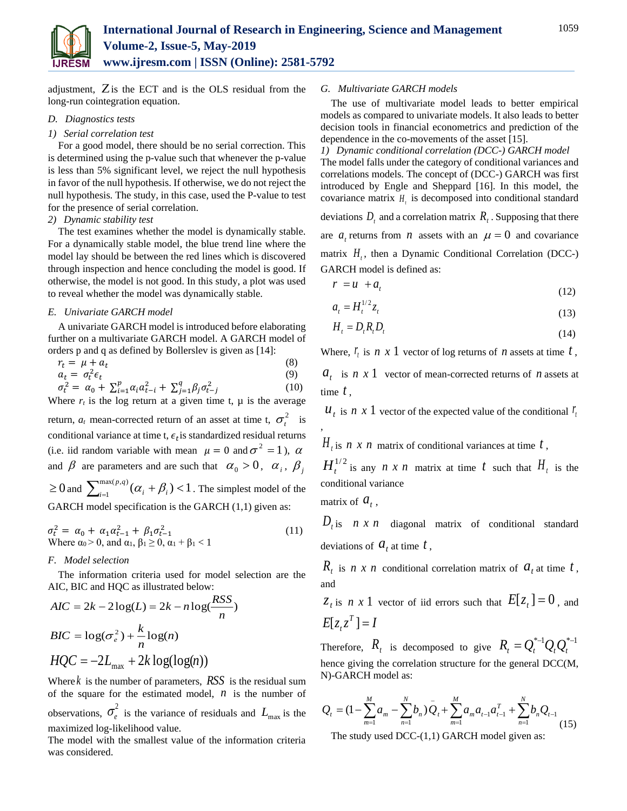

adjustment,  $\overline{Z}$  is the ECT and is the OLS residual from the long-run cointegration equation.

# *D. Diagnostics tests*

#### *1) Serial correlation test*

For a good model, there should be no serial correction. This is determined using the p-value such that whenever the p-value is less than 5% significant level, we reject the null hypothesis in favor of the null hypothesis. If otherwise, we do not reject the null hypothesis. The study, in this case, used the P-value to test for the presence of serial correlation.

# *2) Dynamic stability test*

The test examines whether the model is dynamically stable. For a dynamically stable model, the blue trend line where the model lay should be between the red lines which is discovered through inspection and hence concluding the model is good. If otherwise, the model is not good. In this study, a plot was used to reveal whether the model was dynamically stable.

#### *E. Univariate GARCH model*

A univariate GARCH model is introduced before elaborating further on a multivariate GARCH model. A GARCH model of orders p and q as defined by Bollerslev is given as [14]:

$$
\begin{array}{l}\nr_t = \mu + a_t & (8) \\
a_t = \sigma_t^2 \epsilon_t & (9) \\
\sigma_t^2 = \alpha_0 + \sum_{i=1}^p \alpha_i a_{t-i}^2 + \sum_{j=1}^q \beta_j \sigma_{t-j}^2 & (10)\n\end{array}
$$

Where  $r_t$  is the log return at a given time t,  $\mu$  is the average return,  $a_t$  mean-corrected return of an asset at time t,  $\sigma_t^2$  is conditional variance at time t,  $\epsilon_t$  is standardized residual returns (i.e. iid random variable with mean  $\mu = 0$  and  $\sigma^2 = 1$ ),  $\alpha$ and  $\beta$  are parameters and are such that  $\alpha_0 > 0$ ,  $\alpha_i$ ,  $\beta_j$  $\geq 0$  and  $\sum_{i=1}^{\max(p,q)} (\alpha_i + \beta_i)$  $\alpha_i^{(p,q)}(\alpha_i + \beta_i) < 1$  $\lim_{i=1}^{n} (\alpha_i + \beta_i) < 1$ . The simplest model of the GARCH model specification is the GARCH  $(1,1)$  given as:

$$
\sigma_t^2 = \alpha_0 + \alpha_1 \alpha_{t-1}^2 + \beta_1 \sigma_{t-1}^2
$$
  
Where  $\alpha_0 > 0$ , and  $\alpha_1, \beta_1 \ge 0$ ,  $\alpha_1 + \beta_1 < 1$  (11)

#### *F. Model selection*

The information criteria used for model selection are the AIC, BIC and HQC as illustrated below:

$$
AIC = 2k - 2\log(L) = 2k - n\log(\frac{RSS}{n})
$$
  

$$
BIC = \log(\sigma_e^2) + \frac{k}{n}\log(n)
$$
  

$$
HQC = -2L_{\text{max}} + 2k\log(\log(n))
$$

Where *k* is the number of parameters, *RSS* is the residual sum of the square for the estimated model,  $n$  is the number of observations,  $\sigma_e^2$  is the variance of residuals and  $L_{\text{max}}$  is the maximized log-likelihood value.

The model with the smallest value of the information criteria was considered.

# *G. Multivariate GARCH models*

The use of multivariate model leads to better empirical models as compared to univariate models. It also leads to better decision tools in financial econometrics and prediction of the dependence in the co-movements of the asset [15].

*1) Dynamic conditional correlation (DCC-) GARCH model* The model falls under the category of conditional variances and correlations models. The concept of (DCC-) GARCH was first introduced by Engle and Sheppard [16]. In this model, the covariance matrix  $H_t$  is decomposed into conditional standard

deviations  $D_t$  and a correlation matrix  $R_t$ . Supposing that there are  $a_t$  returns from *n* assets with an  $\mu = 0$  and covariance matrix  $H_t$ , then a Dynamic Conditional Correlation (DCC-) GARCH model is defined as:

$$
r = u + a_t \tag{12}
$$

$$
a_t = H_t^{1/2} z_t \tag{13}
$$

$$
H_t = D_t R_t D_t \tag{14}
$$

Where,  $\mathbf{r}_i$  is  $n \times 1$  vector of log returns of  $n$  assets at time  $t$ ,  $a_t$  is *n x* 1 vector of mean-corrected returns of *n* assets at time *t* ,

 $u_t$  is *n x* 1 vector of the expected value of the conditional  $r_t$ 

 $H_t$  is *n x n* matrix of conditional variances at time *t*,

 $H_t^{1/2}$  is any *n x n* matrix at time *t* such that  $H_t$  is the conditional variance

matrix of  $a_t$ ,

,

 $D_t$  is *n x n* diagonal matrix of conditional standard deviations of  $a_t$  at time  $t$ ,

 $R_t$  is *n x n* conditional correlation matrix of  $a_t$  at time *t*, and

 $z_t$  is *n x* 1 vector of iid errors such that  $E[z_t] = 0$ , and  $E[z_t z^T] = I$ 

Therefore,  $R_t$  is decomposed to give  $R_t = Q_t^{*-1} Q_t Q_t^{*-1}$ hence giving the correlation structure for the general DCC(M, N)-GARCH model as:

$$
Q_{t} = (1 - \sum_{m=1}^{M} a_{m} - \sum_{n=1}^{N} b_{n}) Q_{t} + \sum_{m=1}^{M} a_{m} a_{t-1} a_{t-1}^{T} + \sum_{n=1}^{N} b_{n} Q_{t-1}
$$
(15)

The study used DCC-(1,1) GARCH model given as: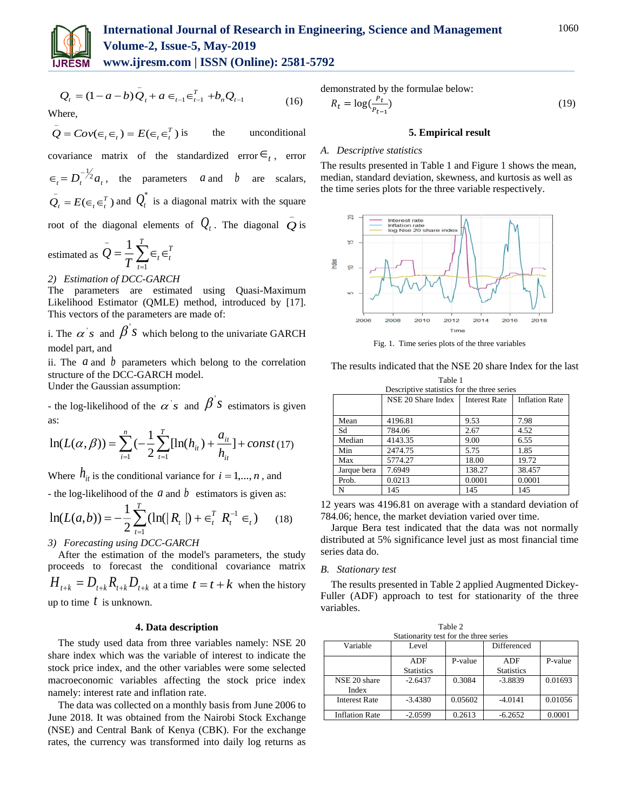

# **International Journal of Research in Engineering, Science and Management Volume-2, Issue-5, May-2019**

**www.ijresm.com | ISSN (Online): 2581-5792** 

$$
Q_{t} = (1 - a - b)\bar{Q}_{t} + a \in_{t-1} \in_{t-1}^{T} + b_{n}Q_{t-1}
$$
\nWhere,

\n
$$
(16)
$$

 $Q = Cov(\epsilon_t, \epsilon_t) = E(\epsilon_t, \epsilon_t^T)$ the unconditional covariance matrix of the standardized error  $\epsilon$ <sub>t</sub>, error  $\epsilon_t = D_t^{-1/2} a_t$ , the parameters *a* and *b* are scalars,  $Q_t = E(\epsilon_t \epsilon_t^T)$  and  $Q_t^*$  is a diagonal matrix with the square root of the diagonal elements of  $Q_t$ . The diagonal  $\overline{Q}$  is

estimated as 
$$
Q = \frac{1}{T} \sum_{t=1}^{T} \epsilon_t \epsilon_t^T
$$

*2) Estimation of DCC-GARCH*

The parameters are estimated using Quasi-Maximum Likelihood Estimator (QMLE) method, introduced by [17]. This vectors of the parameters are made of:

i. The  $\alpha$ 's and  $\beta$ <sup>'</sup>s which belong to the univariate GARCH model part, and

ii. The  $a$  and  $b$  parameters which belong to the correlation structure of the DCC-GARCH model.

Under the Gaussian assumption:

- the log-likelihood of the  $\alpha$ 's and  $\beta$ <sup>'</sup>s estimators is given as:

$$
\ln(L(\alpha, \beta)) = \sum_{i=1}^{n} \left(-\frac{1}{2} \sum_{t=1}^{T} [\ln(h_{it}) + \frac{a_{it}}{h_{it}}] + const (17)\right)
$$

Where  $h_{it}$  is the conditional variance for  $i = 1, ..., n$ , and

- the log-likelihood of the  $a$  and  $b$  estimators is given as:

$$
\ln(L(a,b)) = -\frac{1}{2} \sum_{t=1}^{T} (\ln(|R_t|) + \epsilon_t^T R_t^{-1} \epsilon_t)
$$
 (18)

# *3) Forecasting using DCC-GARCH*

After the estimation of the model's parameters, the study proceeds to forecast the conditional covariance matrix  $H_{t+k} = D_{t+k} R_{t+k} D_{t+k}$  at a time  $t = t + k$  when the history up to time *t* is unknown.

### **4. Data description**

The study used data from three variables namely: NSE 20 share index which was the variable of interest to indicate the stock price index, and the other variables were some selected macroeconomic variables affecting the stock price index namely: interest rate and inflation rate.

The data was collected on a monthly basis from June 2006 to June 2018. It was obtained from the Nairobi Stock Exchange (NSE) and Central Bank of Kenya (CBK). For the exchange rates, the currency was transformed into daily log returns as demonstrated by the formulae below:

$$
R_t = \log(\frac{P_t}{P_{t-1}})
$$
\n<sup>(19)</sup>

# **5. Empirical result**

# *A. Descriptive statistics*

The results presented in Table 1 and Figure 1 shows the mean, median, standard deviation, skewness, and kurtosis as well as the time series plots for the three variable respectively.



Fig. 1. Time series plots of the three variables

The results indicated that the NSE 20 share Index for the last

| Table 1     |                                             |                      |                       |  |  |
|-------------|---------------------------------------------|----------------------|-----------------------|--|--|
|             | Descriptive statistics for the three series |                      |                       |  |  |
|             | NSE 20 Share Index                          | <b>Interest Rate</b> | <b>Inflation Rate</b> |  |  |
|             |                                             |                      |                       |  |  |
| Mean        | 4196.81                                     | 9.53                 | 7.98                  |  |  |
| Sd          | 784.06                                      | 2.67                 | 4.52                  |  |  |
| Median      | 4143.35                                     | 9.00                 | 6.55                  |  |  |
| Min         | 2474.75                                     | 5.75                 | 1.85                  |  |  |
| Max         | 5774.27                                     | 18.00                | 19.72                 |  |  |
| Jarque bera | 7.6949                                      | 138.27               | 38.457                |  |  |
| Prob.       | 0.0213                                      | 0.0001               | 0.0001                |  |  |
| N           | 145                                         | 145                  | 145                   |  |  |

12 years was 4196.81 on average with a standard deviation of 784.06; hence, the market deviation varied over time.

Jarque Bera test indicated that the data was not normally distributed at 5% significance level just as most financial time series data do.

# *B. Stationary test*

The results presented in Table 2 applied Augmented Dickey-Fuller (ADF) approach to test for stationarity of the three variables.

Table 2

|                                        | $\cdots$          |         |                   |         |  |  |
|----------------------------------------|-------------------|---------|-------------------|---------|--|--|
| Stationarity test for the three series |                   |         |                   |         |  |  |
| Variable                               | Level             |         | Differenced       |         |  |  |
|                                        | ADF               | P-value | ADF               | P-value |  |  |
|                                        | <b>Statistics</b> |         | <b>Statistics</b> |         |  |  |
| NSE 20 share                           | $-2.6437$         | 0.3084  | $-3.8839$         | 0.01693 |  |  |
| Index                                  |                   |         |                   |         |  |  |
| <b>Interest Rate</b>                   | $-3.4380$         | 0.05602 | $-4.0141$         | 0.01056 |  |  |
| <b>Inflation Rate</b>                  | $-2.0599$         | 0.2613  | $-6.2652$         | 0.0001  |  |  |
|                                        |                   |         |                   |         |  |  |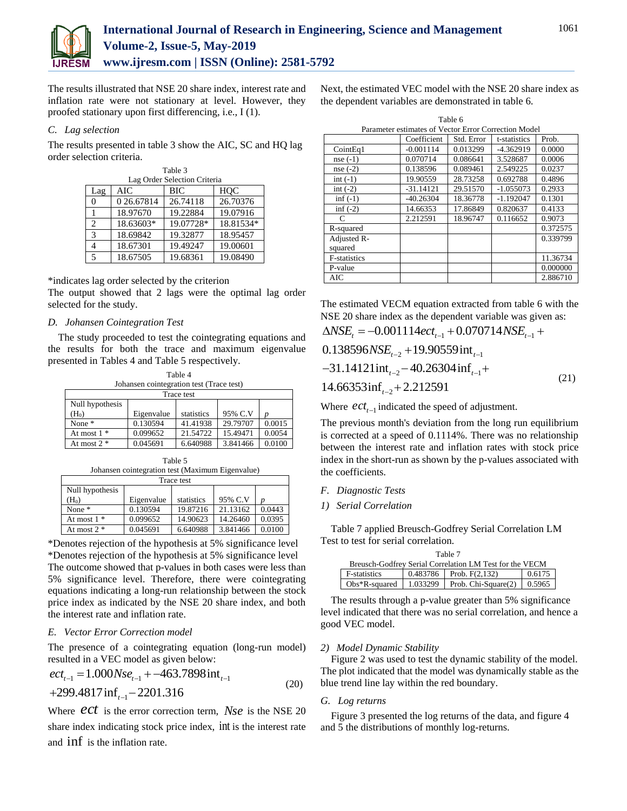

The results illustrated that NSE 20 share index, interest rate and inflation rate were not stationary at level. However, they proofed stationary upon first differencing, i.e., I (1).

# *C. Lag selection*

The results presented in table 3 show the AIC, SC and HQ lag order selection criteria.

| Table 3        |                              |           |           |  |  |  |
|----------------|------------------------------|-----------|-----------|--|--|--|
|                | Lag Order Selection Criteria |           |           |  |  |  |
| Lag            | AIC                          | BIC       | HOC       |  |  |  |
|                | 0 26.67814                   | 26.74118  | 26.70376  |  |  |  |
|                | 18.97670                     | 19.22884  | 19.07916  |  |  |  |
| $\mathfrak{D}$ | 18.63603*                    | 19.07728* | 18.81534* |  |  |  |
| $\mathcal{R}$  | 18.69842                     | 19.32877  | 18.95457  |  |  |  |
|                | 18.67301                     | 19.49247  | 19.00601  |  |  |  |
|                | 18.67505                     | 19.68361  | 19.08490  |  |  |  |

\*indicates lag order selected by the criterion

The output showed that 2 lags were the optimal lag order selected for the study.

# *D. Johansen Cointegration Test*

The study proceeded to test the cointegrating equations and the results for both the trace and maximum eigenvalue presented in Tables 4 and Table 5 respectively.

| Table 4           |                                          |            |          |        |  |
|-------------------|------------------------------------------|------------|----------|--------|--|
|                   | Johansen cointegration test (Trace test) |            |          |        |  |
|                   | Trace test                               |            |          |        |  |
| Null hypothesis   |                                          |            |          |        |  |
| (H <sub>0</sub> ) | Eigenvalue                               | statistics | 95% C.V  |        |  |
| None $*$          | 0.130594                                 | 41.41938   | 29.79707 | 0.0015 |  |
| At most $1 *$     | 0.099652                                 | 21.54722   | 15.49471 | 0.0054 |  |
| At most $2 *$     | 0.045691                                 | 6.640988   | 3.841466 | 0.0100 |  |

Table 5 Johansen cointegration test (Maximum Eigenvalue)

|                 | sonanosn connegration teor (mainmain Eigen) arae/ |            |          |        |  |  |
|-----------------|---------------------------------------------------|------------|----------|--------|--|--|
| Trace test      |                                                   |            |          |        |  |  |
| Null hypothesis |                                                   |            |          |        |  |  |
| $(H_0)$         | Eigenvalue                                        | statistics | 95% C.V  |        |  |  |
| None $*$        | 0.130594                                          | 19.87216   | 21.13162 | 0.0443 |  |  |
| At most $1 *$   | 0.099652                                          | 14.90623   | 14.26460 | 0.0395 |  |  |
| At most $2 *$   | 0.045691                                          | 6.640988   | 3.841466 | 0.0100 |  |  |

\*Denotes rejection of the hypothesis at 5% significance level \*Denotes rejection of the hypothesis at 5% significance level The outcome showed that p-values in both cases were less than 5% significance level. Therefore, there were cointegrating equations indicating a long-run relationship between the stock price index as indicated by the NSE 20 share index, and both the interest rate and inflation rate.

# *E. Vector Error Correction model*

The presence of a cointegrating equation (long-run model) resulted in a VEC model as given below:

$$
ectt-1 = 1.000Nset-1 + -463.7898intt-1 +299.4817 inft-1 - 2201.316
$$
\n(20)

Where *ect* is the error correction term, *Nse* is the NSE 20 share index indicating stock price index, int is the interest rate and inf is the inflation rate.

Next, the estimated VEC model with the NSE 20 share index as the dependent variables are demonstrated in table 6.

| Table 6             |                                                      |            |              |          |  |  |
|---------------------|------------------------------------------------------|------------|--------------|----------|--|--|
|                     | Parameter estimates of Vector Error Correction Model |            |              |          |  |  |
|                     | Coefficient                                          | Std. Error | t-statistics | Prob.    |  |  |
| CointEq1            | $-0.001114$                                          | 0.013299   | $-4.362919$  | 0.0000   |  |  |
| $nse(-1)$           | 0.070714                                             | 0.086641   | 3.528687     | 0.0006   |  |  |
| $nse(-2)$           | 0.138596                                             | 0.089461   | 2.549225     | 0.0237   |  |  |
| $int (-1)$          | 19.90559                                             | 28.73258   | 0.692788     | 0.4896   |  |  |
| int $(-2)$          | $-31.14121$                                          | 29.51570   | $-1.055073$  | 0.2933   |  |  |
| $\inf$ (-1)         | $-40.26304$                                          | 18.36778   | $-1.192047$  | 0.1301   |  |  |
| inf $(-2)$          | 14.66353                                             | 17.86849   | 0.820637     | 0.4133   |  |  |
| C                   | 2.212591                                             | 18.96747   | 0.116652     | 0.9073   |  |  |
| R-squared           |                                                      |            |              | 0.372575 |  |  |
| Adjusted R-         |                                                      |            |              | 0.339799 |  |  |
| squared             |                                                      |            |              |          |  |  |
| <b>F-statistics</b> |                                                      |            |              | 11.36734 |  |  |
| P-value             |                                                      |            |              | 0.000000 |  |  |
| <b>AIC</b>          |                                                      |            |              | 2.886710 |  |  |

The estimated VECM equation extracted from table 6 with the NSE 20 share index as the dependent variable was given as:

$$
\Delta NSE_{t} = -0.001114 \text{ect}_{t-1} + 0.070714 NSE_{t-1} +
$$

$$
0.138596NSEt-2 + 19.90559intt-1
$$
  
-31.14121int<sub>t-2</sub> - 40.26304 inf<sub>t-1</sub>+  
14.66353inf<sub>t-2</sub> + 2.212591 (21)

Where  $ect_{t-1}$  indicated the speed of adjustment.

The previous month's deviation from the long run equilibrium is corrected at a speed of 0.1114%. There was no relationship between the interest rate and inflation rates with stock price index in the short-run as shown by the p-values associated with the coefficients.

- *F. Diagnostic Tests*
- *1) Serial Correlation*

Table 7 applied Breusch-Godfrey Serial Correlation LM Test to test for serial correlation.

| Table 7                                                 |  |                                                         |        |  |
|---------------------------------------------------------|--|---------------------------------------------------------|--------|--|
| Breusch-Godfrey Serial Correlation LM Test for the VECM |  |                                                         |        |  |
| <b>F</b> -statistics                                    |  | $0.483786$ Prob. F(2.132)                               | 0.6175 |  |
|                                                         |  | Obs*R-squared   1.033299   Prob. Chi-Square(2)   0.5965 |        |  |

The results through a p-value greater than 5% significance level indicated that there was no serial correlation, and hence a good VEC model.

# *2) Model Dynamic Stability*

Figure 2 was used to test the dynamic stability of the model. The plot indicated that the model was dynamically stable as the blue trend line lay within the red boundary.

# *G. Log returns*

Figure 3 presented the log returns of the data, and figure 4 and 5 the distributions of monthly log-returns.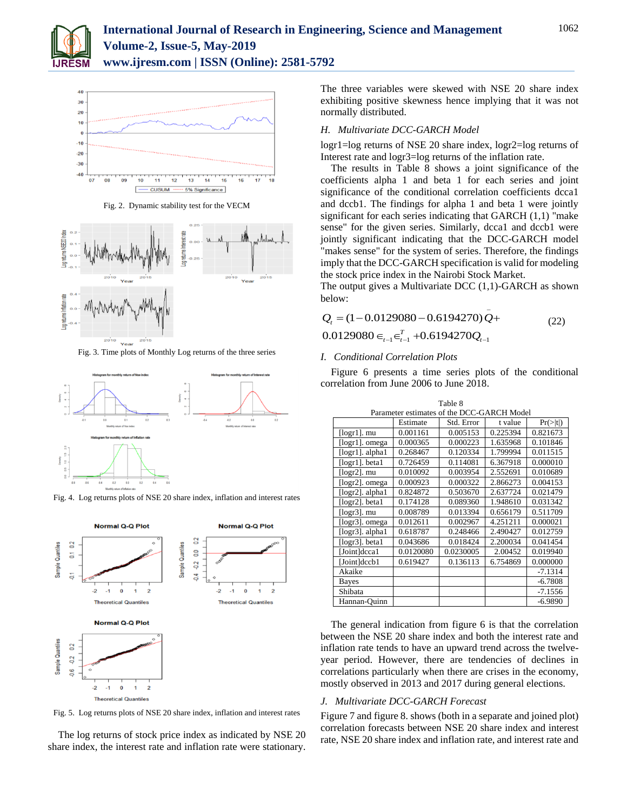



Fig. 2. Dynamic stability test for the VECM



Fig. 3. Time plots of Monthly Log returns of the three series



Fig. 4. Log returns plots of NSE 20 share index, inflation and interest rates



Fig. 5. Log returns plots of NSE 20 share index, inflation and interest rates

The log returns of stock price index as indicated by NSE 20 share index, the interest rate and inflation rate were stationary.

The three variables were skewed with NSE 20 share index exhibiting positive skewness hence implying that it was not normally distributed.

#### *H. Multivariate DCC-GARCH Model*

logr1=log returns of NSE 20 share index, logr2=log returns of Interest rate and logr3=log returns of the inflation rate.

The results in Table 8 shows a joint significance of the coefficients alpha 1 and beta 1 for each series and joint significance of the conditional correlation coefficients dcca1 and dccb1. The findings for alpha 1 and beta 1 were jointly significant for each series indicating that GARCH (1,1) "make sense" for the given series. Similarly, dcca1 and dccb1 were jointly significant indicating that the DCC-GARCH model "makes sense" for the system of series. Therefore, the findings imply that the DCC-GARCH specification is valid for modeling the stock price index in the Nairobi Stock Market.

The output gives a Multivariate DCC (1,1)-GARCH as shown below:

$$
Q_{t} = (1 - 0.0129080 - 0.6194270)Q +
$$
  
0.0129080  $\in_{t-1} \in_{t-1}^{T} + 0.6194270Q_{t-1}$  (22)

#### *I. Conditional Correlation Plots*

Figure 6 presents a time series plots of the conditional correlation from June 2006 to June 2018.

Table 8

| Parameter estimates of the DCC-GARCH Model |           |            |          |           |
|--------------------------------------------|-----------|------------|----------|-----------|
|                                            | Estimate  | Std. Error | t value  | Pr(> t )  |
| $\lceil \log r 1 \rceil$ . mu              | 0.001161  | 0.005153   | 0.225394 | 0.821673  |
| [logr1]. omega                             | 0.000365  | 0.000223   | 1.635968 | 0.101846  |
| $[logr1]$ . alpha $1$                      | 0.268467  | 0.120334   | 1.799994 | 0.011515  |
| [logr1]. beta1                             | 0.726459  | 0.114081   | 6.367918 | 0.000010  |
| $[logr2]$ . mu                             | 0.010092  | 0.003954   | 2.552691 | 0.010689  |
| [logr2]. omega                             | 0.000923  | 0.000322   | 2.866273 | 0.004153  |
| [logr2]. alpha1                            | 0.824872  | 0.503670   | 2.637724 | 0.021479  |
| [logr2]. beta1                             | 0.174128  | 0.089360   | 1.948610 | 0.031342  |
| $[logr3]$ . mu                             | 0.008789  | 0.013394   | 0.656179 | 0.511709  |
| [logr3]. omega                             | 0.012611  | 0.002967   | 4.251211 | 0.000021  |
| $[logr3]$ . alpha $1$                      | 0.618787  | 0.248466   | 2.490427 | 0.012759  |
| $[logr3]$ . betal                          | 0.043686  | 0.018424   | 2.200034 | 0.041454  |
| [Joint]dcca1                               | 0.0120080 | 0.0230005  | 2.00452  | 0.019940  |
| [Joint]dccb1                               | 0.619427  | 0.136113   | 6.754869 | 0.000000  |
| Akaike                                     |           |            |          | $-7.1314$ |
| Bayes                                      |           |            |          | $-6.7808$ |
| Shibata                                    |           |            |          | $-7.1556$ |
| Hannan-Quinn                               |           |            |          | $-6.9890$ |

The general indication from figure 6 is that the correlation between the NSE 20 share index and both the interest rate and inflation rate tends to have an upward trend across the twelveyear period. However, there are tendencies of declines in correlations particularly when there are crises in the economy, mostly observed in 2013 and 2017 during general elections.

#### *J. Multivariate DCC-GARCH Forecast*

Figure 7 and figure 8. shows (both in a separate and joined plot) correlation forecasts between NSE 20 share index and interest rate, NSE 20 share index and inflation rate, and interest rate and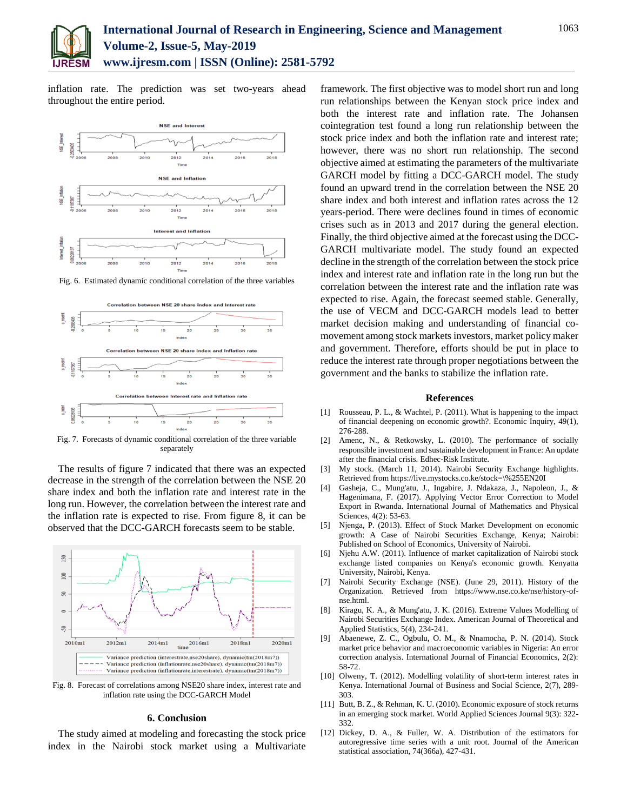

inflation rate. The prediction was set two-years ahead throughout the entire period.



Fig. 6. Estimated dynamic conditional correlation of the three variables



Fig. 7. Forecasts of dynamic conditional correlation of the three variable separately

The results of figure 7 indicated that there was an expected decrease in the strength of the correlation between the NSE 20 share index and both the inflation rate and interest rate in the long run. However, the correlation between the interest rate and the inflation rate is expected to rise. From figure 8, it can be observed that the DCC-GARCH forecasts seem to be stable.



Fig. 8. Forecast of correlations among NSE20 share index, interest rate and inflation rate using the DCC-GARCH Model

#### **6. Conclusion**

The study aimed at modeling and forecasting the stock price index in the Nairobi stock market using a Multivariate framework. The first objective was to model short run and long run relationships between the Kenyan stock price index and both the interest rate and inflation rate. The Johansen cointegration test found a long run relationship between the stock price index and both the inflation rate and interest rate; however, there was no short run relationship. The second objective aimed at estimating the parameters of the multivariate GARCH model by fitting a DCC-GARCH model. The study found an upward trend in the correlation between the NSE 20 share index and both interest and inflation rates across the 12 years-period. There were declines found in times of economic crises such as in 2013 and 2017 during the general election. Finally, the third objective aimed at the forecast using the DCC-GARCH multivariate model. The study found an expected decline in the strength of the correlation between the stock price index and interest rate and inflation rate in the long run but the correlation between the interest rate and the inflation rate was expected to rise. Again, the forecast seemed stable. Generally, the use of VECM and DCC-GARCH models lead to better market decision making and understanding of financial comovement among stock markets investors, market policy maker and government. Therefore, efforts should be put in place to reduce the interest rate through proper negotiations between the government and the banks to stabilize the inflation rate.

#### **References**

- [1] Rousseau, P. L., & Wachtel, P. (2011). What is happening to the impact of financial deepening on economic growth?. Economic Inquiry, 49(1), 276-288.
- [2] Amenc, N., & Retkowsky, L. (2010). The performance of socially responsible investment and sustainable development in France: An update after the financial crisis. Edhec-Risk Institute.
- [3] My stock. (March 11, 2014). Nairobi Security Exchange highlights. Retrieved from https://live.mystocks.co.ke/stock=\%255EN20I
- [4] Gasheja, C., Mung'atu, J., Ingabire, J. Ndakaza, J., Napoleon, J., & Hagenimana, F. (2017). Applying Vector Error Correction to Model Export in Rwanda. International Journal of Mathematics and Physical Sciences, 4(2): 53-63.
- [5] Njenga, P. (2013). Effect of Stock Market Development on economic growth: A Case of Nairobi Securities Exchange, Kenya; Nairobi: Published on School of Economics, University of Nairobi.
- [6] Njehu A.W. (2011). Influence of market capitalization of Nairobi stock exchange listed companies on Kenya's economic growth. Kenyatta University, Nairobi, Kenya.
- [7] Nairobi Security Exchange (NSE). (June 29, 2011). History of the Organization. Retrieved from https://www.nse.co.ke/nse/history-ofnse.html.
- [8] Kiragu, K. A., & Mung'atu, J. K. (2016). Extreme Values Modelling of Nairobi Securities Exchange Index. American Journal of Theoretical and Applied Statistics, 5(4), 234-241.
- [9] Abaenewe, Z. C., Ogbulu, O. M., & Nnamocha, P. N. (2014). Stock market price behavior and macroeconomic variables in Nigeria: An error correction analysis. International Journal of Financial Economics, 2(2): 58-72.
- [10] Olweny, T. (2012). Modelling volatility of short-term interest rates in Kenya. International Journal of Business and Social Science, 2(7), 289- 303.
- [11] Butt, B. Z., & Rehman, K. U. (2010). Economic exposure of stock returns in an emerging stock market. World Applied Sciences Journal 9(3): 322- 332.
- [12] Dickey, D. A., & Fuller, W. A. Distribution of the estimators for autoregressive time series with a unit root. Journal of the American statistical association, 74(366a), 427-431.